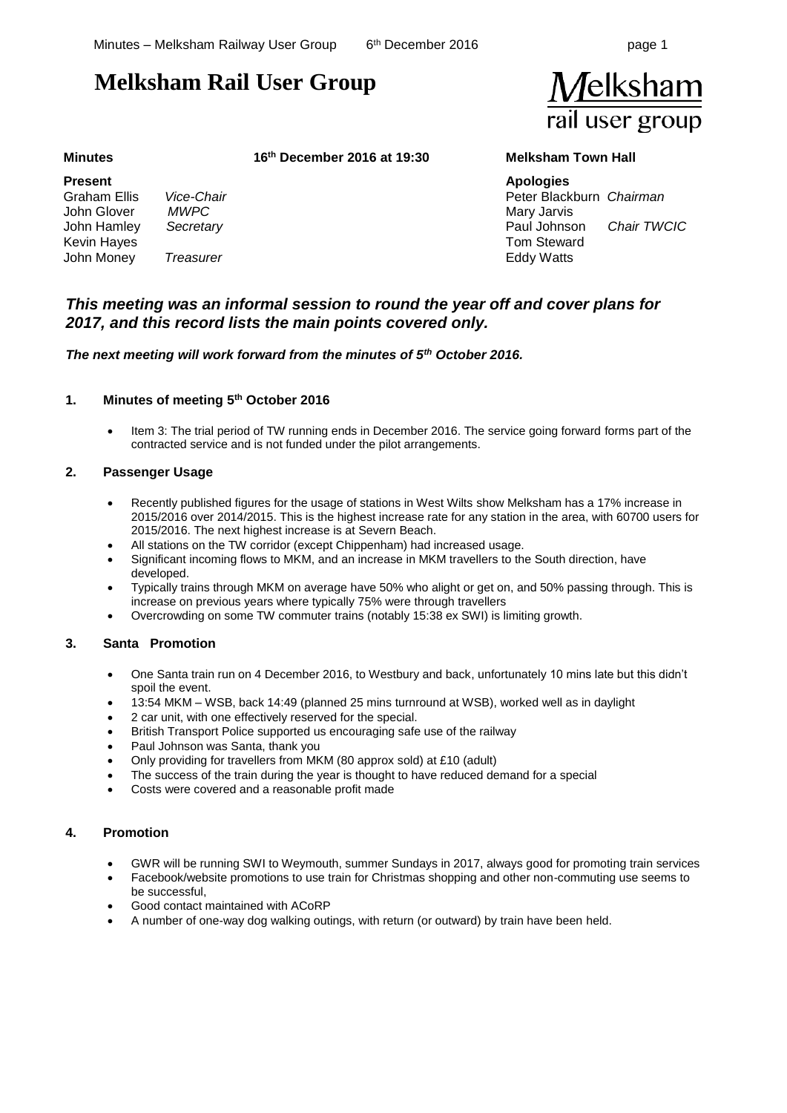**//elksham** 

rail user group

# **Melksham Rail User Group**

#### **Present**

Graham Ellis *Vice-Chair* John Glover *MWPC* John Hamley *Secretary* Kevin Hayes John Money *Treasurer*

**Minutes 16th December 2016 at 19:30 Melksham Town Hall**

**Apologies** Peter Blackburn *Chairman*  Mary Jarvis Paul Johnson *Chair TWCIC* Tom Steward Eddy Watts

# *This meeting was an informal session to round the year off and cover plans for 2017, and this record lists the main points covered only.*

*The next meeting will work forward from the minutes of 5th October 2016.*

### **1. Minutes of meeting 5 th October 2016**

• Item 3: The trial period of TW running ends in December 2016. The service going forward forms part of the contracted service and is not funded under the pilot arrangements.

### **2. Passenger Usage**

- Recently published figures for the usage of stations in West Wilts show Melksham has a 17% increase in 2015/2016 over 2014/2015. This is the highest increase rate for any station in the area, with 60700 users for 2015/2016. The next highest increase is at Severn Beach.
- All stations on the TW corridor (except Chippenham) had increased usage.
- Significant incoming flows to MKM, and an increase in MKM travellers to the South direction, have developed.
- Typically trains through MKM on average have 50% who alight or get on, and 50% passing through. This is increase on previous years where typically 75% were through travellers
- Overcrowding on some TW commuter trains (notably 15:38 ex SWI) is limiting growth.

#### **3. Santa Promotion**

- One Santa train run on 4 December 2016, to Westbury and back, unfortunately 10 mins late but this didn't spoil the event.
- 13:54 MKM WSB, back 14:49 (planned 25 mins turnround at WSB), worked well as in daylight
- 2 car unit, with one effectively reserved for the special.
- British Transport Police supported us encouraging safe use of the railway
- Paul Johnson was Santa, thank you
- Only providing for travellers from MKM (80 approx sold) at £10 (adult)
- The success of the train during the year is thought to have reduced demand for a special
- Costs were covered and a reasonable profit made

## **4. Promotion**

- GWR will be running SWI to Weymouth, summer Sundays in 2017, always good for promoting train services
- Facebook/website promotions to use train for Christmas shopping and other non-commuting use seems to be successful,
- Good contact maintained with ACoRP
- A number of one-way dog walking outings, with return (or outward) by train have been held.